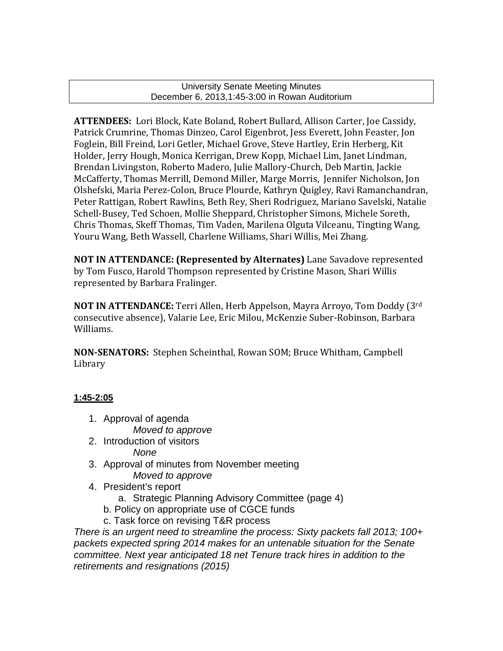University Senate Meeting Minutes December 6, 2013,1:45-3:00 in Rowan Auditorium

**ATTENDEES:** Lori Block, Kate Boland, Robert Bullard, Allison Carter, Joe Cassidy, Patrick Crumrine, Thomas Dinzeo, Carol Eigenbrot, Jess Everett, John Feaster, Jon Foglein, Bill Freind, Lori Getler, Michael Grove, Steve Hartley, Erin Herberg, Kit Holder, Jerry Hough, Monica Kerrigan, Drew Kopp, Michael Lim, Janet Lindman, Brendan Livingston, Roberto Madero, Julie Mallory-Church, Deb Martin, Jackie McCafferty, Thomas Merrill, Demond Miller, Marge Morris, Jennifer Nicholson, Jon Olshefski, Maria Perez-Colon, Bruce Plourde, Kathryn Quigley, Ravi Ramanchandran, Peter Rattigan, Robert Rawlins, Beth Rey, Sheri Rodriguez, Mariano Savelski, Natalie Schell-Busey, Ted Schoen, Mollie Sheppard, Christopher Simons, Michele Soreth, Chris Thomas, Skeff Thomas, Tim Vaden, Marilena Olguta Vilceanu, Tingting Wang, Youru Wang, Beth Wassell, Charlene Williams, Shari Willis, Mei Zhang.

**NOT IN ATTENDANCE: (Represented by Alternates)** Lane Savadove represented by Tom Fusco, Harold Thompson represented by Cristine Mason, Shari Willis represented by Barbara Fralinger.

**NOT IN ATTENDANCE:** Terri Allen, Herb Appelson, Mayra Arroyo, Tom Doddy (3rd consecutive absence), Valarie Lee, Eric Milou, McKenzie Suber-Robinson, Barbara Williams.

**NON-SENATORS:** Stephen Scheinthal, Rowan SOM; Bruce Whitham, Campbell Library

## **1:45-2:05**

- 1. Approval of agenda *Moved to approve*
- 2. Introduction of visitors *None*
- 3. Approval of minutes from November meeting *Moved to approve*
- 4. President's report
	- a. Strategic Planning Advisory Committee (page 4)
	- b. Policy on appropriate use of CGCE funds
	- c. Task force on revising T&R process

*There is an urgent need to streamline the process: Sixty packets fall 2013; 100+ packets expected spring 2014 makes for an untenable situation for the Senate committee. Next year anticipated 18 net Tenure track hires in addition to the retirements and resignations (2015)*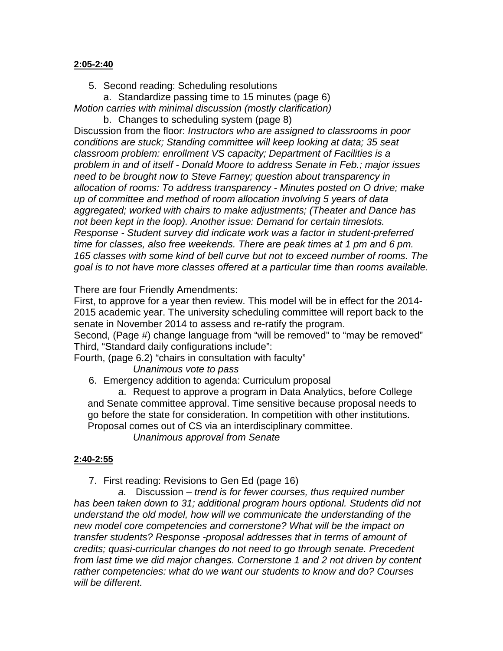## **2:05-2:40**

5. Second reading: Scheduling resolutions

a. Standardize passing time to 15 minutes (page 6) *Motion carries with minimal discussion (mostly clarification)*

b. Changes to scheduling system (page 8) Discussion from the floor: *Instructors who are assigned to classrooms in poor conditions are stuck; Standing committee will keep looking at data; 35 seat classroom problem: enrollment VS capacity; Department of Facilities is a problem in and of itself - Donald Moore to address Senate in Feb.; major issues need to be brought now to Steve Farney; question about transparency in allocation of rooms: To address transparency - Minutes posted on O drive; make up of committee and method of room allocation involving 5 years of data aggregated; worked with chairs to make adjustments; (Theater and Dance has not been kept in the loop). Another issue: Demand for certain timeslots. Response - Student survey did indicate work was a factor in student-preferred time for classes, also free weekends. There are peak times at 1 pm and 6 pm. 165 classes with some kind of bell curve but not to exceed number of rooms. The goal is to not have more classes offered at a particular time than rooms available.*

There are four Friendly Amendments:

First, to approve for a year then review. This model will be in effect for the 2014- 2015 academic year. The university scheduling committee will report back to the senate in November 2014 to assess and re-ratify the program.

Second, (Page #) change language from "will be removed" to "may be removed" Third, "Standard daily configurations include":

Fourth, (page 6.2) "chairs in consultation with faculty"

*Unanimous vote to pass* 

6. Emergency addition to agenda: Curriculum proposal

a. Request to approve a program in Data Analytics, before College and Senate committee approval. Time sensitive because proposal needs to go before the state for consideration. In competition with other institutions. Proposal comes out of CS via an interdisciplinary committee.

*Unanimous approval from Senate*

## **2:40-2:55**

7. First reading: Revisions to Gen Ed (page 16)

*a.* Discussion – *trend is for fewer courses, thus required number has been taken down to 31; additional program hours optional. Students did not understand the old model, how will we communicate the understanding of the new model core competencies and cornerstone? What will be the impact on transfer students? Response -proposal addresses that in terms of amount of credits; quasi-curricular changes do not need to go through senate. Precedent from last time we did major changes. Cornerstone 1 and 2 not driven by content rather competencies: what do we want our students to know and do? Courses will be different.*